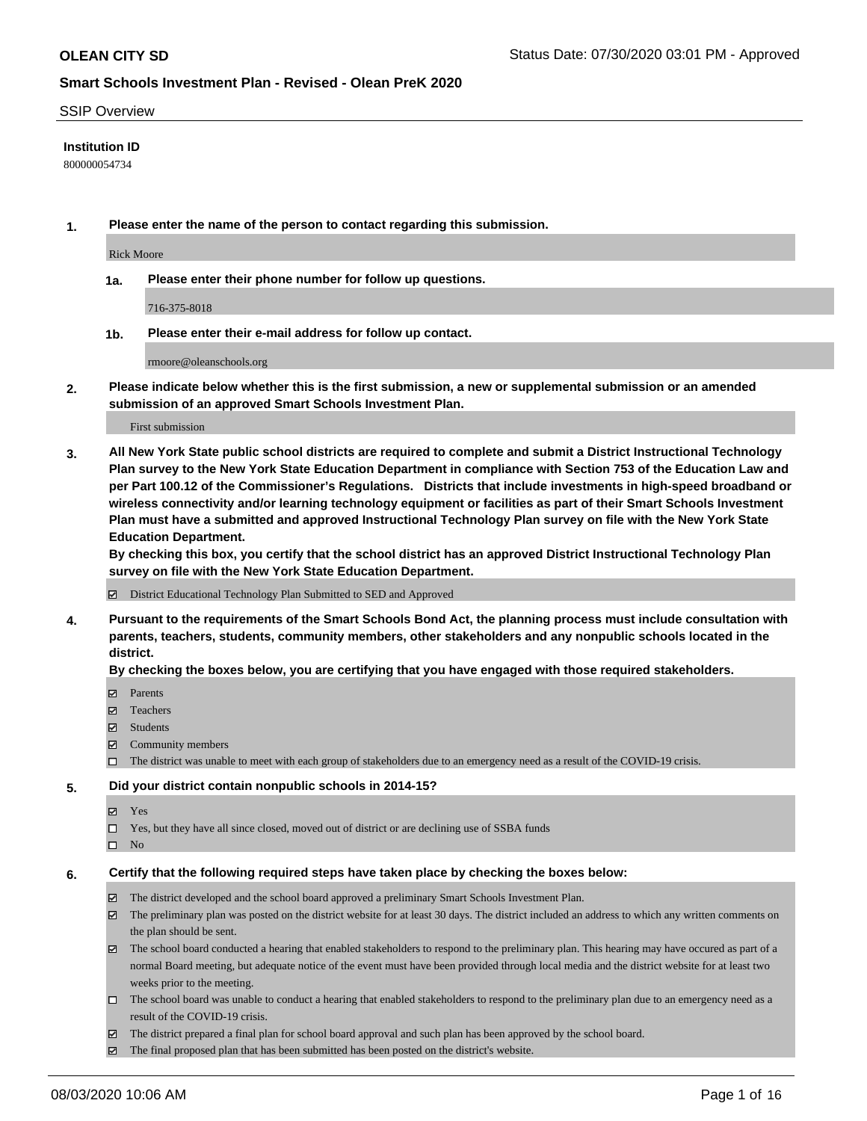#### SSIP Overview

### **Institution ID**

800000054734

**1. Please enter the name of the person to contact regarding this submission.**

Rick Moore

**1a. Please enter their phone number for follow up questions.**

716-375-8018

**1b. Please enter their e-mail address for follow up contact.**

rmoore@oleanschools.org

**2. Please indicate below whether this is the first submission, a new or supplemental submission or an amended submission of an approved Smart Schools Investment Plan.**

#### First submission

**3. All New York State public school districts are required to complete and submit a District Instructional Technology Plan survey to the New York State Education Department in compliance with Section 753 of the Education Law and per Part 100.12 of the Commissioner's Regulations. Districts that include investments in high-speed broadband or wireless connectivity and/or learning technology equipment or facilities as part of their Smart Schools Investment Plan must have a submitted and approved Instructional Technology Plan survey on file with the New York State Education Department.** 

**By checking this box, you certify that the school district has an approved District Instructional Technology Plan survey on file with the New York State Education Department.**

District Educational Technology Plan Submitted to SED and Approved

**4. Pursuant to the requirements of the Smart Schools Bond Act, the planning process must include consultation with parents, teachers, students, community members, other stakeholders and any nonpublic schools located in the district.** 

#### **By checking the boxes below, you are certifying that you have engaged with those required stakeholders.**

- **□** Parents
- Teachers
- Students
- $\boxtimes$  Community members
- The district was unable to meet with each group of stakeholders due to an emergency need as a result of the COVID-19 crisis.

#### **5. Did your district contain nonpublic schools in 2014-15?**

- **冈** Yes
- Yes, but they have all since closed, moved out of district or are declining use of SSBA funds
- $\square$  No

#### **6. Certify that the following required steps have taken place by checking the boxes below:**

- The district developed and the school board approved a preliminary Smart Schools Investment Plan.
- $\boxtimes$  The preliminary plan was posted on the district website for at least 30 days. The district included an address to which any written comments on the plan should be sent.
- The school board conducted a hearing that enabled stakeholders to respond to the preliminary plan. This hearing may have occured as part of a normal Board meeting, but adequate notice of the event must have been provided through local media and the district website for at least two weeks prior to the meeting.
- The school board was unable to conduct a hearing that enabled stakeholders to respond to the preliminary plan due to an emergency need as a result of the COVID-19 crisis.
- The district prepared a final plan for school board approval and such plan has been approved by the school board.
- $\boxtimes$  The final proposed plan that has been submitted has been posted on the district's website.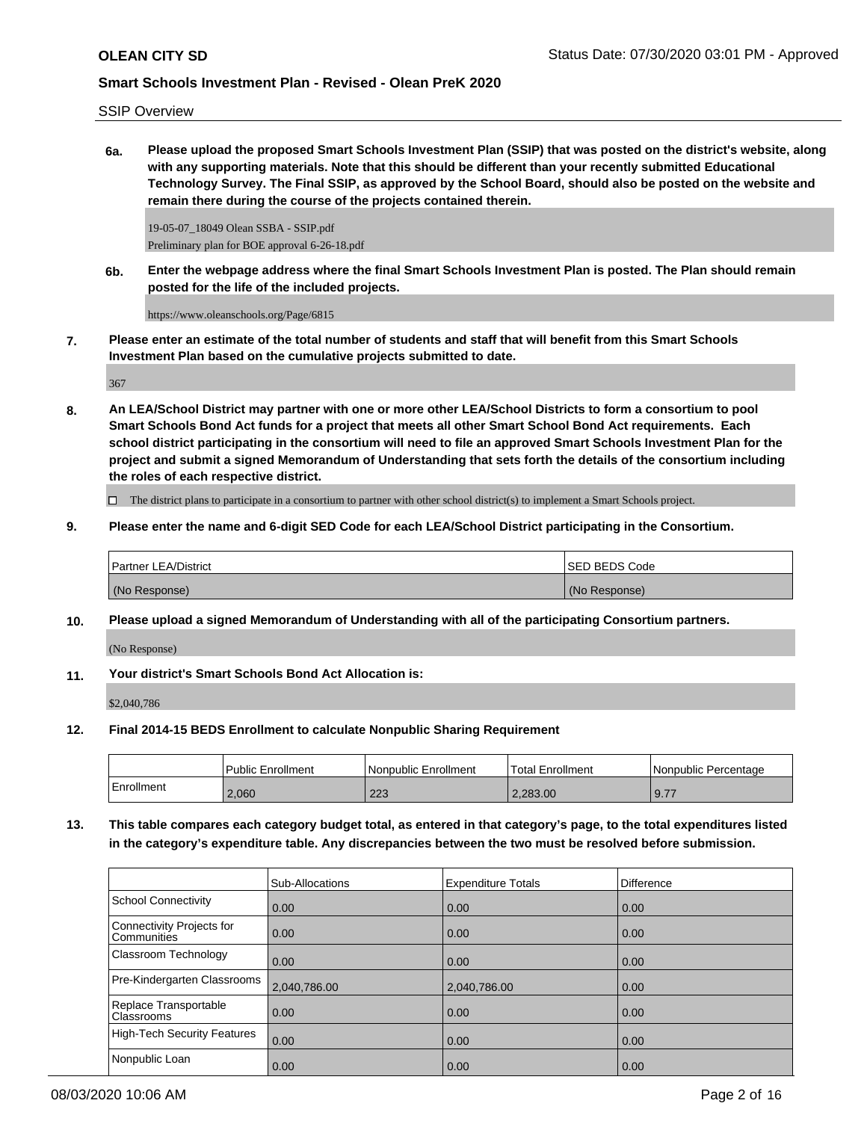### SSIP Overview

**6a. Please upload the proposed Smart Schools Investment Plan (SSIP) that was posted on the district's website, along with any supporting materials. Note that this should be different than your recently submitted Educational Technology Survey. The Final SSIP, as approved by the School Board, should also be posted on the website and remain there during the course of the projects contained therein.**

19-05-07\_18049 Olean SSBA - SSIP.pdf Preliminary plan for BOE approval 6-26-18.pdf

**6b. Enter the webpage address where the final Smart Schools Investment Plan is posted. The Plan should remain posted for the life of the included projects.**

https://www.oleanschools.org/Page/6815

**7. Please enter an estimate of the total number of students and staff that will benefit from this Smart Schools Investment Plan based on the cumulative projects submitted to date.**

367

**8. An LEA/School District may partner with one or more other LEA/School Districts to form a consortium to pool Smart Schools Bond Act funds for a project that meets all other Smart School Bond Act requirements. Each school district participating in the consortium will need to file an approved Smart Schools Investment Plan for the project and submit a signed Memorandum of Understanding that sets forth the details of the consortium including the roles of each respective district.**

 $\Box$  The district plans to participate in a consortium to partner with other school district(s) to implement a Smart Schools project.

**9. Please enter the name and 6-digit SED Code for each LEA/School District participating in the Consortium.**

| <b>Partner LEA/District</b> | <b>ISED BEDS Code</b> |
|-----------------------------|-----------------------|
| (No Response)               | (No Response)         |

**10. Please upload a signed Memorandum of Understanding with all of the participating Consortium partners.**

(No Response)

**11. Your district's Smart Schools Bond Act Allocation is:**

\$2,040,786

**12. Final 2014-15 BEDS Enrollment to calculate Nonpublic Sharing Requirement**

|            | <b>Public Enrollment</b> | l Nonpublic Enrollment | <b>Total Enrollment</b> | l Nonpublic Percentage |
|------------|--------------------------|------------------------|-------------------------|------------------------|
| Enrollment | 2,060                    | つつつ<br>د∠ے             | 2.283.00                | 9.77                   |

**13. This table compares each category budget total, as entered in that category's page, to the total expenditures listed in the category's expenditure table. Any discrepancies between the two must be resolved before submission.**

|                                            | Sub-Allocations | <b>Expenditure Totals</b> | <b>Difference</b> |
|--------------------------------------------|-----------------|---------------------------|-------------------|
| <b>School Connectivity</b>                 | 0.00            | 0.00                      | 0.00              |
| Connectivity Projects for<br>Communities   | 0.00            | 0.00                      | 0.00              |
| Classroom Technology                       | 0.00            | 0.00                      | 0.00              |
| Pre-Kindergarten Classrooms                | 2,040,786.00    | 2,040,786.00              | 0.00              |
| Replace Transportable<br><b>Classrooms</b> | 0.00            | 0.00                      | 0.00              |
| <b>High-Tech Security Features</b>         | 0.00            | 0.00                      | 0.00              |
| Nonpublic Loan                             | 0.00            | 0.00                      | 0.00              |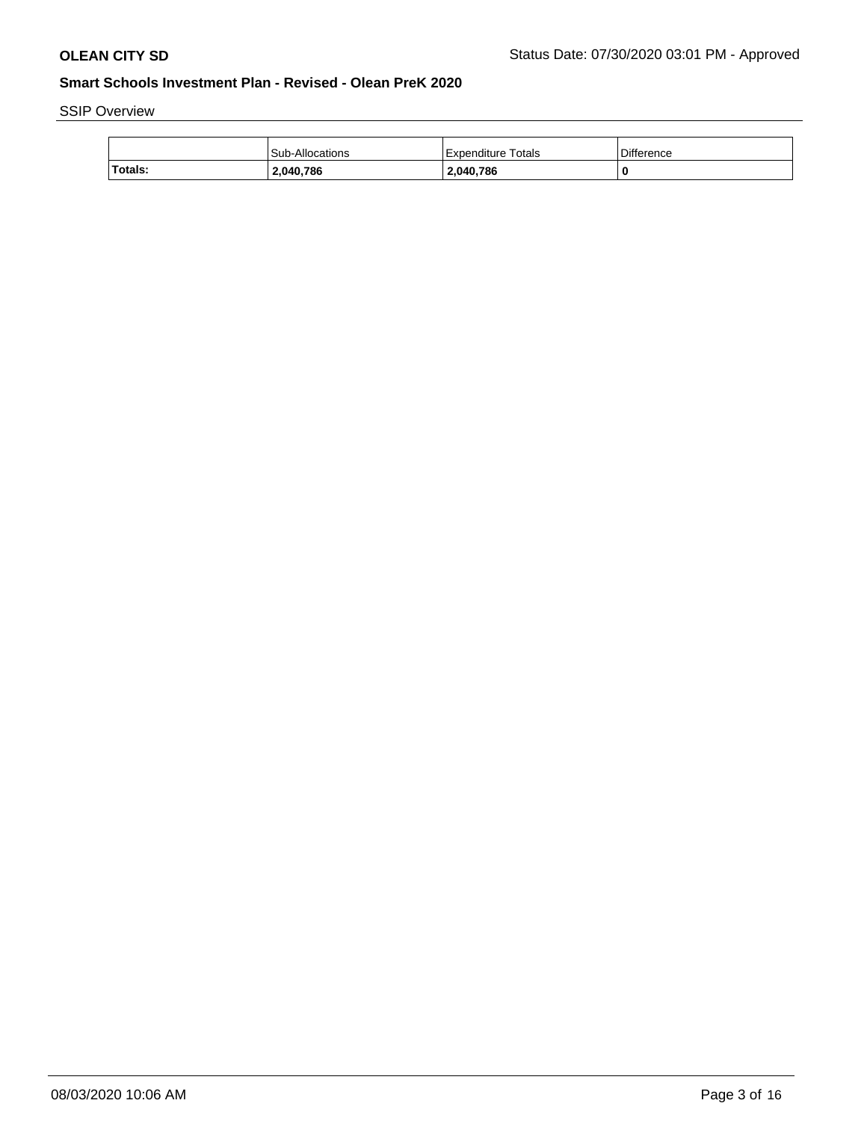SSIP Overview

|         | Sub-Allocations | Expenditure Totals | Difference |
|---------|-----------------|--------------------|------------|
| Totals: | 2,040,786       | 2,040,786          |            |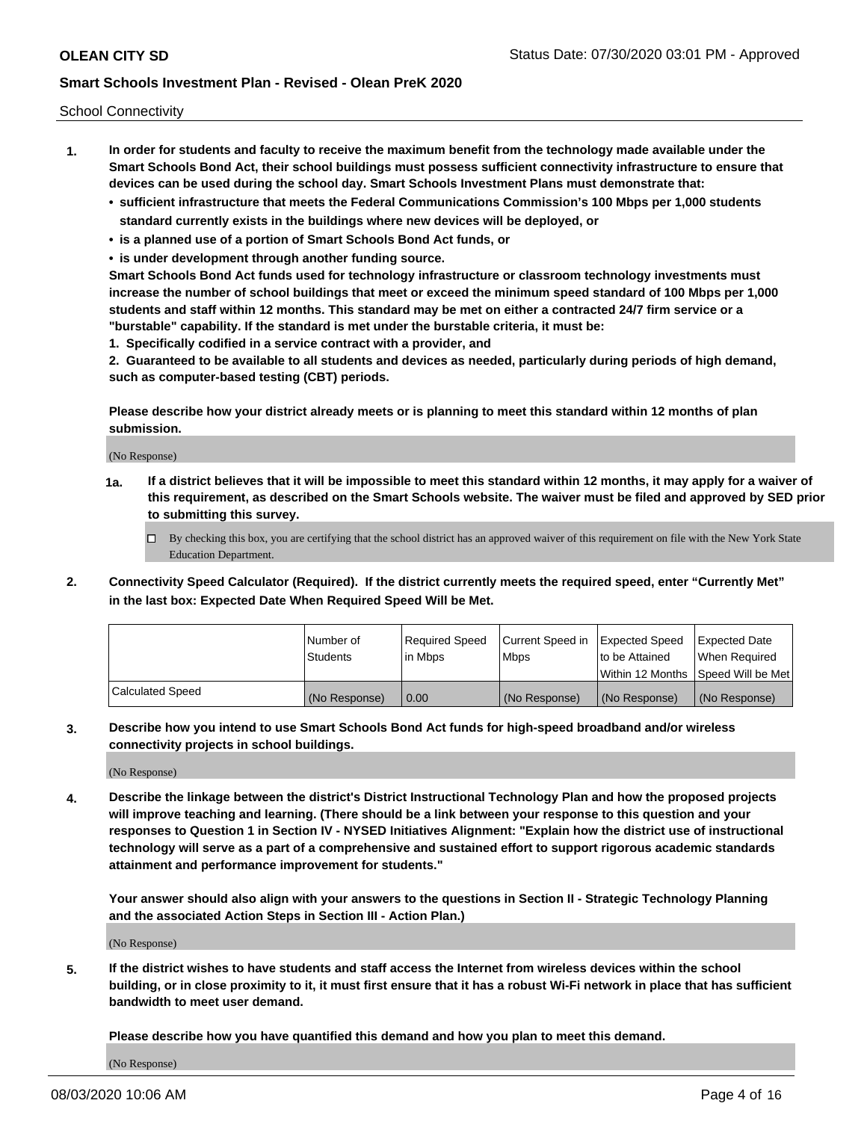School Connectivity

- **1. In order for students and faculty to receive the maximum benefit from the technology made available under the Smart Schools Bond Act, their school buildings must possess sufficient connectivity infrastructure to ensure that devices can be used during the school day. Smart Schools Investment Plans must demonstrate that:**
	- **• sufficient infrastructure that meets the Federal Communications Commission's 100 Mbps per 1,000 students standard currently exists in the buildings where new devices will be deployed, or**
	- **• is a planned use of a portion of Smart Schools Bond Act funds, or**
	- **• is under development through another funding source.**

**Smart Schools Bond Act funds used for technology infrastructure or classroom technology investments must increase the number of school buildings that meet or exceed the minimum speed standard of 100 Mbps per 1,000 students and staff within 12 months. This standard may be met on either a contracted 24/7 firm service or a "burstable" capability. If the standard is met under the burstable criteria, it must be:**

**1. Specifically codified in a service contract with a provider, and**

**2. Guaranteed to be available to all students and devices as needed, particularly during periods of high demand, such as computer-based testing (CBT) periods.**

**Please describe how your district already meets or is planning to meet this standard within 12 months of plan submission.**

(No Response)

**1a. If a district believes that it will be impossible to meet this standard within 12 months, it may apply for a waiver of this requirement, as described on the Smart Schools website. The waiver must be filed and approved by SED prior to submitting this survey.**

 $\Box$  By checking this box, you are certifying that the school district has an approved waiver of this requirement on file with the New York State Education Department.

**2. Connectivity Speed Calculator (Required). If the district currently meets the required speed, enter "Currently Met" in the last box: Expected Date When Required Speed Will be Met.**

|                  | l Number of     | Required Speed | Current Speed in | Expected Speed  | Expected Date                           |
|------------------|-----------------|----------------|------------------|-----------------|-----------------------------------------|
|                  | <b>Students</b> | In Mbps        | l Mbps           | to be Attained  | When Required                           |
|                  |                 |                |                  |                 | l Within 12 Months ISpeed Will be Met l |
| Calculated Speed | (No Response)   | 0.00           | (No Response)    | l (No Response) | l (No Response)                         |

**3. Describe how you intend to use Smart Schools Bond Act funds for high-speed broadband and/or wireless connectivity projects in school buildings.**

(No Response)

**4. Describe the linkage between the district's District Instructional Technology Plan and how the proposed projects will improve teaching and learning. (There should be a link between your response to this question and your responses to Question 1 in Section IV - NYSED Initiatives Alignment: "Explain how the district use of instructional technology will serve as a part of a comprehensive and sustained effort to support rigorous academic standards attainment and performance improvement for students."** 

**Your answer should also align with your answers to the questions in Section II - Strategic Technology Planning and the associated Action Steps in Section III - Action Plan.)**

(No Response)

**5. If the district wishes to have students and staff access the Internet from wireless devices within the school building, or in close proximity to it, it must first ensure that it has a robust Wi-Fi network in place that has sufficient bandwidth to meet user demand.**

**Please describe how you have quantified this demand and how you plan to meet this demand.**

(No Response)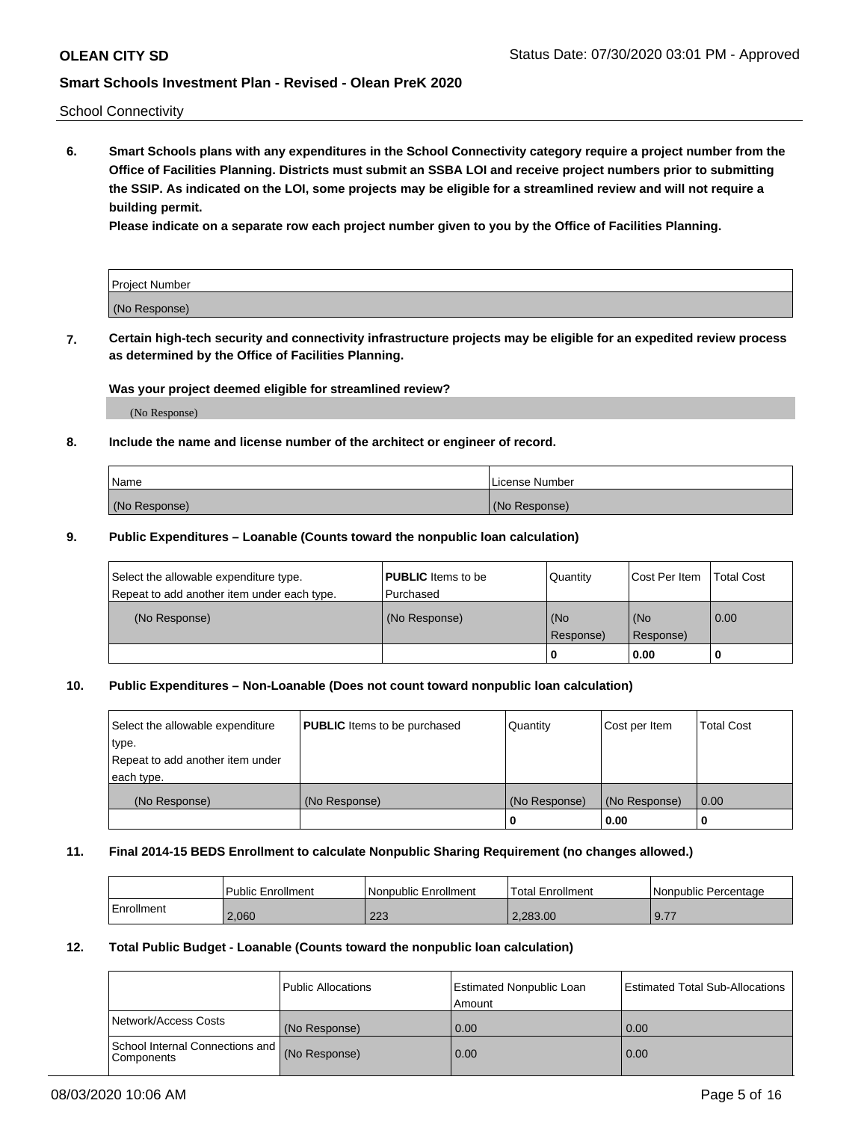School Connectivity

**6. Smart Schools plans with any expenditures in the School Connectivity category require a project number from the Office of Facilities Planning. Districts must submit an SSBA LOI and receive project numbers prior to submitting the SSIP. As indicated on the LOI, some projects may be eligible for a streamlined review and will not require a building permit.**

**Please indicate on a separate row each project number given to you by the Office of Facilities Planning.**

| Project Number |  |
|----------------|--|
| (No Response)  |  |

**7. Certain high-tech security and connectivity infrastructure projects may be eligible for an expedited review process as determined by the Office of Facilities Planning.**

#### **Was your project deemed eligible for streamlined review?**

(No Response)

### **8. Include the name and license number of the architect or engineer of record.**

| Name          | License Number |
|---------------|----------------|
| (No Response) | (No Response)  |

#### **9. Public Expenditures – Loanable (Counts toward the nonpublic loan calculation)**

| Select the allowable expenditure type.<br>Repeat to add another item under each type. | <b>PUBLIC</b> Items to be<br>l Purchased | Quantity           | Cost Per Item    | <b>Total Cost</b> |
|---------------------------------------------------------------------------------------|------------------------------------------|--------------------|------------------|-------------------|
| (No Response)                                                                         | (No Response)                            | l (No<br>Response) | (No<br>Response) | $\overline{0.00}$ |
|                                                                                       |                                          | O                  | 0.00             |                   |

### **10. Public Expenditures – Non-Loanable (Does not count toward nonpublic loan calculation)**

| Select the allowable expenditure<br>type.<br>Repeat to add another item under<br>each type. | <b>PUBLIC</b> Items to be purchased | Quantity      | Cost per Item | <b>Total Cost</b> |
|---------------------------------------------------------------------------------------------|-------------------------------------|---------------|---------------|-------------------|
| (No Response)                                                                               | (No Response)                       | (No Response) | (No Response) | 0.00              |
|                                                                                             |                                     |               | 0.00          |                   |

#### **11. Final 2014-15 BEDS Enrollment to calculate Nonpublic Sharing Requirement (no changes allowed.)**

|            | Public Enrollment | l Nonpublic Enrollment | <b>Total Enrollment</b> | Nonpublic Percentage |
|------------|-------------------|------------------------|-------------------------|----------------------|
| Enrollment | 2.060             | ററാ<br>د∠ے             | 2.283.00                | 9.77                 |

### **12. Total Public Budget - Loanable (Counts toward the nonpublic loan calculation)**

|                                                      | Public Allocations | <b>Estimated Nonpublic Loan</b><br>Amount | Estimated Total Sub-Allocations |
|------------------------------------------------------|--------------------|-------------------------------------------|---------------------------------|
| Network/Access Costs                                 | (No Response)      | 0.00                                      | 0.00                            |
| School Internal Connections and<br><b>Components</b> | (No Response)      | 0.00                                      | 0.00                            |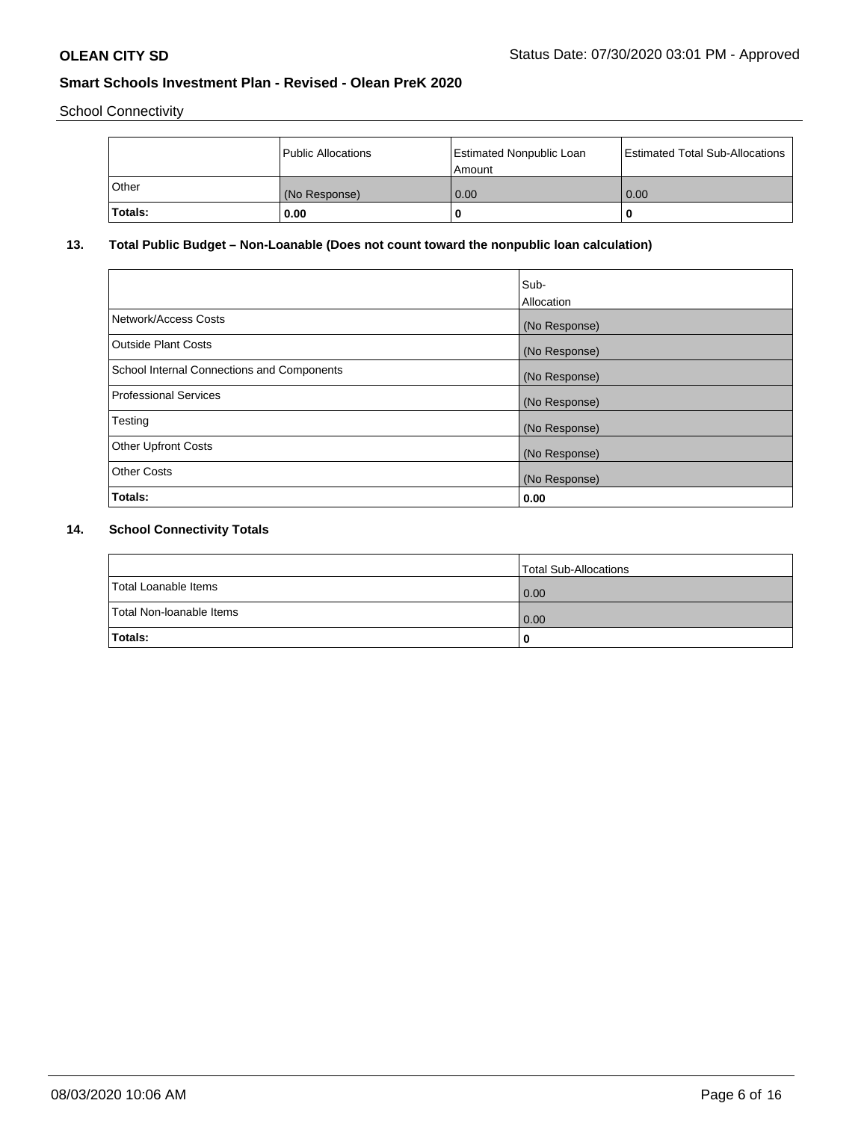School Connectivity

|         | Public Allocations | <b>Estimated Nonpublic Loan</b><br>Amount | <b>Estimated Total Sub-Allocations</b> |
|---------|--------------------|-------------------------------------------|----------------------------------------|
| l Other | (No Response)      | 0.00                                      | 0.00                                   |
| Totals: | 0.00               | 0                                         |                                        |

# **13. Total Public Budget – Non-Loanable (Does not count toward the nonpublic loan calculation)**

|                                                   | Sub-<br>Allocation |
|---------------------------------------------------|--------------------|
| Network/Access Costs                              | (No Response)      |
| Outside Plant Costs                               | (No Response)      |
| <b>School Internal Connections and Components</b> | (No Response)      |
| <b>Professional Services</b>                      | (No Response)      |
| Testing                                           | (No Response)      |
| <b>Other Upfront Costs</b>                        | (No Response)      |
| <b>Other Costs</b>                                | (No Response)      |
| Totals:                                           | 0.00               |

# **14. School Connectivity Totals**

|                          | Total Sub-Allocations |
|--------------------------|-----------------------|
| Total Loanable Items     | $\overline{0.00}$     |
| Total Non-Ioanable Items | $\overline{0.00}$     |
| Totals:                  |                       |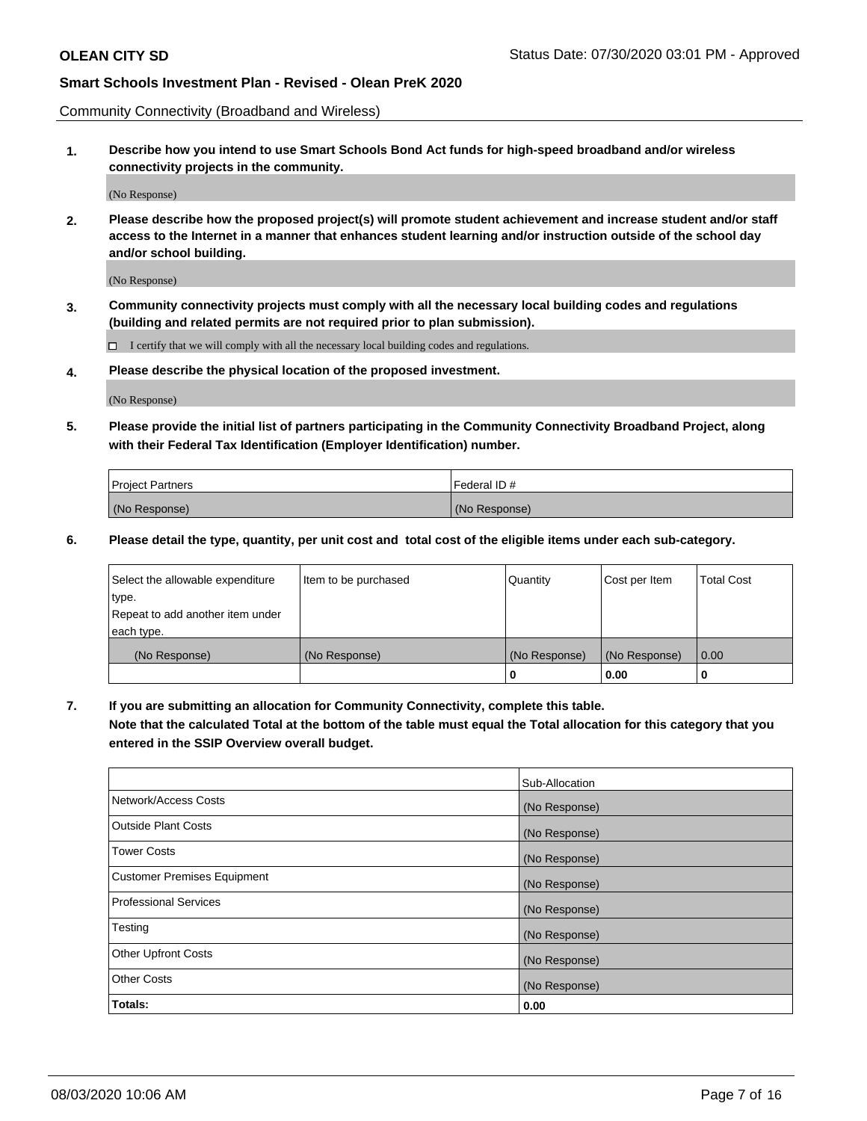Community Connectivity (Broadband and Wireless)

**1. Describe how you intend to use Smart Schools Bond Act funds for high-speed broadband and/or wireless connectivity projects in the community.**

(No Response)

**2. Please describe how the proposed project(s) will promote student achievement and increase student and/or staff access to the Internet in a manner that enhances student learning and/or instruction outside of the school day and/or school building.**

(No Response)

**3. Community connectivity projects must comply with all the necessary local building codes and regulations (building and related permits are not required prior to plan submission).**

 $\Box$  I certify that we will comply with all the necessary local building codes and regulations.

**4. Please describe the physical location of the proposed investment.**

(No Response)

**5. Please provide the initial list of partners participating in the Community Connectivity Broadband Project, along with their Federal Tax Identification (Employer Identification) number.**

| <b>Project Partners</b> | l Federal ID # |
|-------------------------|----------------|
| (No Response)           | (No Response)  |

**6. Please detail the type, quantity, per unit cost and total cost of the eligible items under each sub-category.**

| Select the allowable expenditure | Item to be purchased | Quantity      | Cost per Item | <b>Total Cost</b> |
|----------------------------------|----------------------|---------------|---------------|-------------------|
| type.                            |                      |               |               |                   |
| Repeat to add another item under |                      |               |               |                   |
| each type.                       |                      |               |               |                   |
| (No Response)                    | (No Response)        | (No Response) | (No Response) | 0.00              |
|                                  |                      | o             | 0.00          |                   |

**7. If you are submitting an allocation for Community Connectivity, complete this table.**

**Note that the calculated Total at the bottom of the table must equal the Total allocation for this category that you entered in the SSIP Overview overall budget.**

|                                    | Sub-Allocation |
|------------------------------------|----------------|
| Network/Access Costs               | (No Response)  |
| Outside Plant Costs                | (No Response)  |
| <b>Tower Costs</b>                 | (No Response)  |
| <b>Customer Premises Equipment</b> | (No Response)  |
| <b>Professional Services</b>       | (No Response)  |
| Testing                            | (No Response)  |
| <b>Other Upfront Costs</b>         | (No Response)  |
| <b>Other Costs</b>                 | (No Response)  |
| Totals:                            | 0.00           |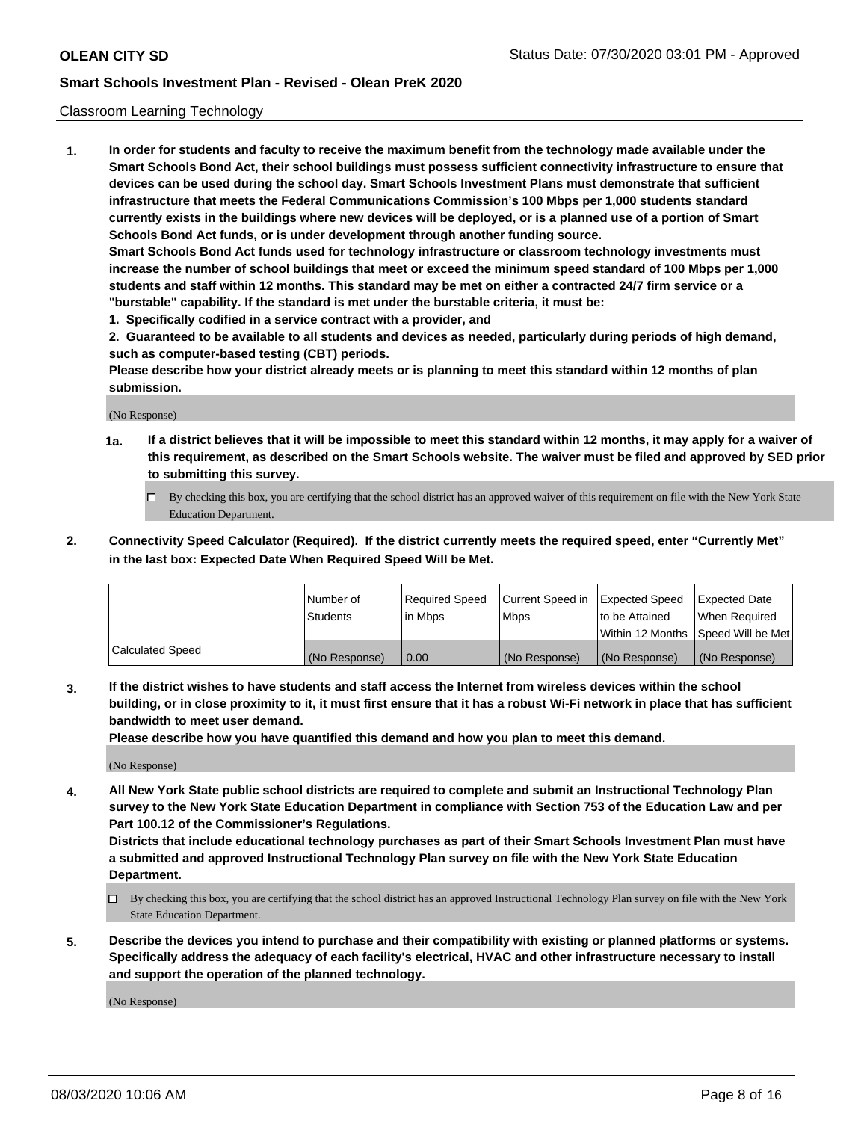#### Classroom Learning Technology

**1. In order for students and faculty to receive the maximum benefit from the technology made available under the Smart Schools Bond Act, their school buildings must possess sufficient connectivity infrastructure to ensure that devices can be used during the school day. Smart Schools Investment Plans must demonstrate that sufficient infrastructure that meets the Federal Communications Commission's 100 Mbps per 1,000 students standard currently exists in the buildings where new devices will be deployed, or is a planned use of a portion of Smart Schools Bond Act funds, or is under development through another funding source. Smart Schools Bond Act funds used for technology infrastructure or classroom technology investments must increase the number of school buildings that meet or exceed the minimum speed standard of 100 Mbps per 1,000 students and staff within 12 months. This standard may be met on either a contracted 24/7 firm service or a**

- **"burstable" capability. If the standard is met under the burstable criteria, it must be:**
- **1. Specifically codified in a service contract with a provider, and**

**2. Guaranteed to be available to all students and devices as needed, particularly during periods of high demand, such as computer-based testing (CBT) periods.**

**Please describe how your district already meets or is planning to meet this standard within 12 months of plan submission.**

(No Response)

- **1a. If a district believes that it will be impossible to meet this standard within 12 months, it may apply for a waiver of this requirement, as described on the Smart Schools website. The waiver must be filed and approved by SED prior to submitting this survey.**
	- By checking this box, you are certifying that the school district has an approved waiver of this requirement on file with the New York State Education Department.
- **2. Connectivity Speed Calculator (Required). If the district currently meets the required speed, enter "Currently Met" in the last box: Expected Date When Required Speed Will be Met.**

|                  | l Number of     | Required Speed | Current Speed in | <b>Expected Speed</b> | <b>Expected Date</b>                |
|------------------|-----------------|----------------|------------------|-----------------------|-------------------------------------|
|                  | <b>Students</b> | l in Mbps      | l Mbps           | to be Attained        | When Required                       |
|                  |                 |                |                  |                       | Within 12 Months  Speed Will be Met |
| Calculated Speed | (No Response)   | 0.00           | (No Response)    | l (No Response)       | (No Response)                       |

**3. If the district wishes to have students and staff access the Internet from wireless devices within the school building, or in close proximity to it, it must first ensure that it has a robust Wi-Fi network in place that has sufficient bandwidth to meet user demand.**

**Please describe how you have quantified this demand and how you plan to meet this demand.**

(No Response)

**4. All New York State public school districts are required to complete and submit an Instructional Technology Plan survey to the New York State Education Department in compliance with Section 753 of the Education Law and per Part 100.12 of the Commissioner's Regulations.**

**Districts that include educational technology purchases as part of their Smart Schools Investment Plan must have a submitted and approved Instructional Technology Plan survey on file with the New York State Education Department.**

- By checking this box, you are certifying that the school district has an approved Instructional Technology Plan survey on file with the New York State Education Department.
- **5. Describe the devices you intend to purchase and their compatibility with existing or planned platforms or systems. Specifically address the adequacy of each facility's electrical, HVAC and other infrastructure necessary to install and support the operation of the planned technology.**

(No Response)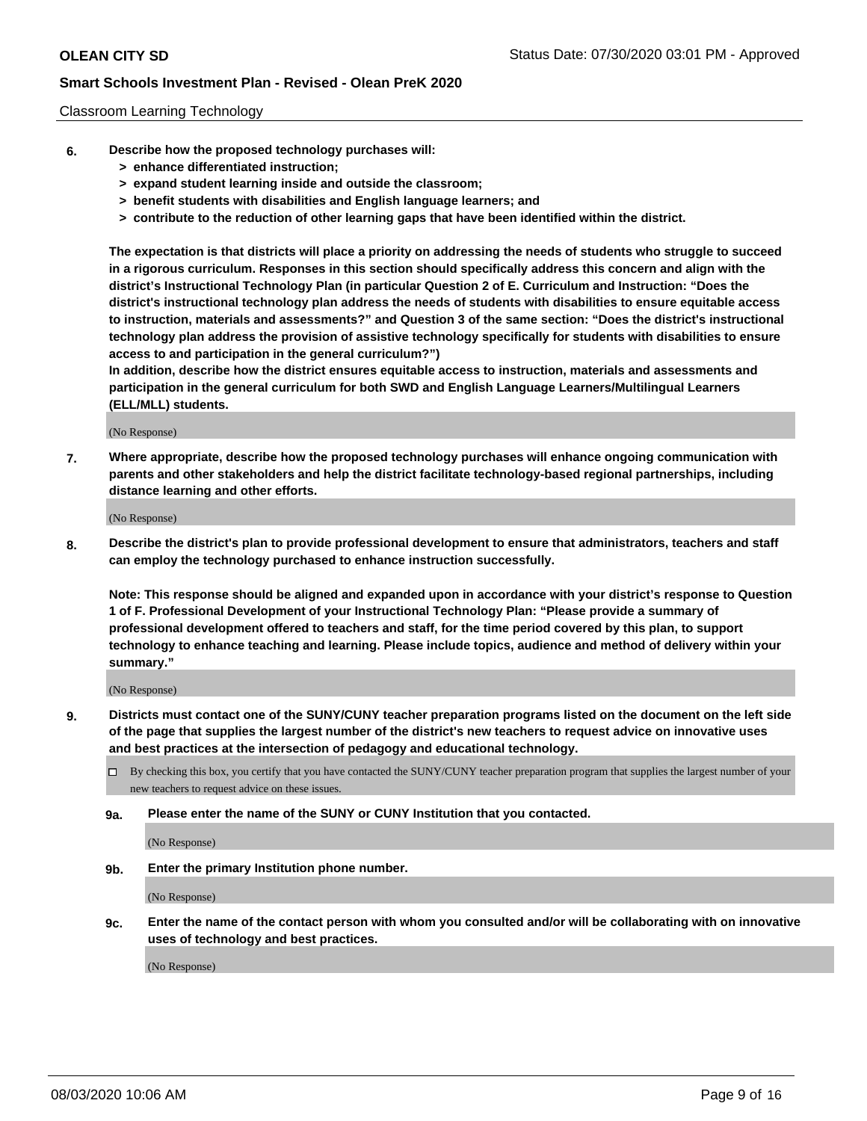#### Classroom Learning Technology

- **6. Describe how the proposed technology purchases will:**
	- **> enhance differentiated instruction;**
	- **> expand student learning inside and outside the classroom;**
	- **> benefit students with disabilities and English language learners; and**
	- **> contribute to the reduction of other learning gaps that have been identified within the district.**

**The expectation is that districts will place a priority on addressing the needs of students who struggle to succeed in a rigorous curriculum. Responses in this section should specifically address this concern and align with the district's Instructional Technology Plan (in particular Question 2 of E. Curriculum and Instruction: "Does the district's instructional technology plan address the needs of students with disabilities to ensure equitable access to instruction, materials and assessments?" and Question 3 of the same section: "Does the district's instructional technology plan address the provision of assistive technology specifically for students with disabilities to ensure access to and participation in the general curriculum?")**

**In addition, describe how the district ensures equitable access to instruction, materials and assessments and participation in the general curriculum for both SWD and English Language Learners/Multilingual Learners (ELL/MLL) students.**

(No Response)

**7. Where appropriate, describe how the proposed technology purchases will enhance ongoing communication with parents and other stakeholders and help the district facilitate technology-based regional partnerships, including distance learning and other efforts.**

(No Response)

**8. Describe the district's plan to provide professional development to ensure that administrators, teachers and staff can employ the technology purchased to enhance instruction successfully.**

**Note: This response should be aligned and expanded upon in accordance with your district's response to Question 1 of F. Professional Development of your Instructional Technology Plan: "Please provide a summary of professional development offered to teachers and staff, for the time period covered by this plan, to support technology to enhance teaching and learning. Please include topics, audience and method of delivery within your summary."**

(No Response)

- **9. Districts must contact one of the SUNY/CUNY teacher preparation programs listed on the document on the left side of the page that supplies the largest number of the district's new teachers to request advice on innovative uses and best practices at the intersection of pedagogy and educational technology.**
	- By checking this box, you certify that you have contacted the SUNY/CUNY teacher preparation program that supplies the largest number of your new teachers to request advice on these issues.
	- **9a. Please enter the name of the SUNY or CUNY Institution that you contacted.**

(No Response)

**9b. Enter the primary Institution phone number.**

(No Response)

**9c. Enter the name of the contact person with whom you consulted and/or will be collaborating with on innovative uses of technology and best practices.**

(No Response)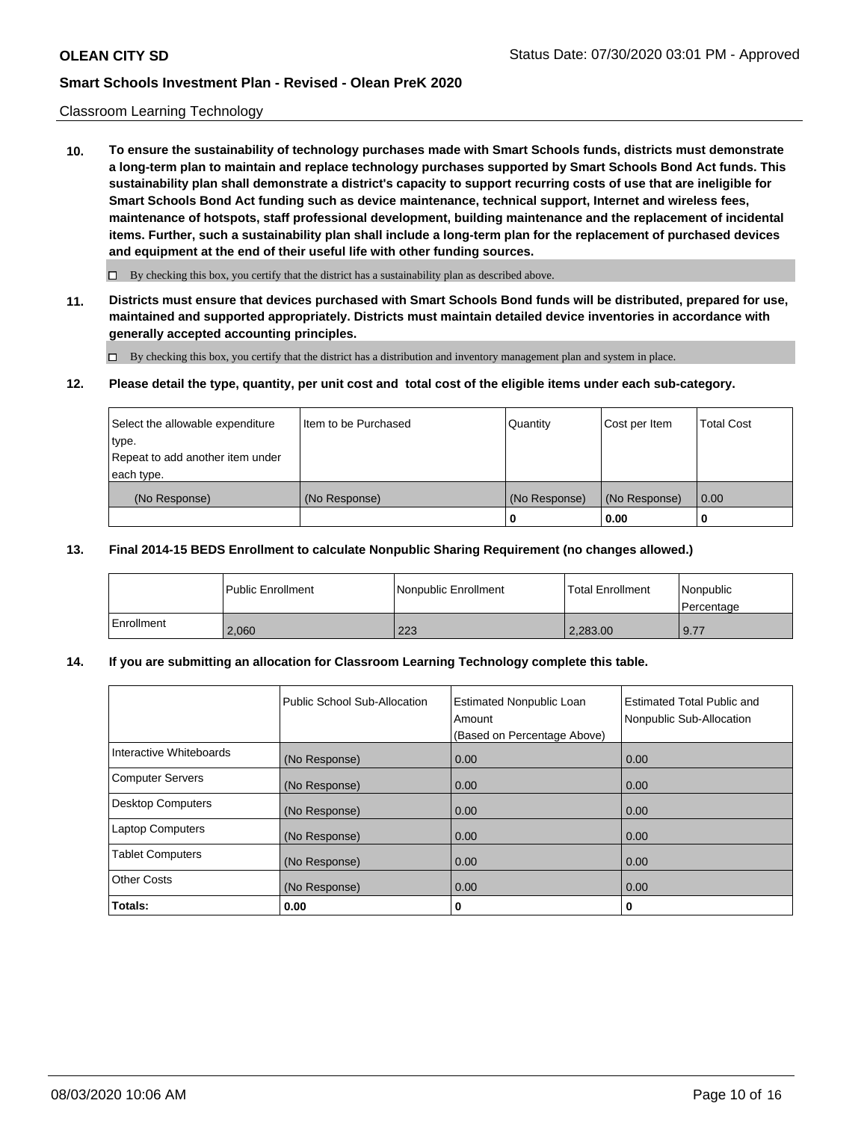#### Classroom Learning Technology

**10. To ensure the sustainability of technology purchases made with Smart Schools funds, districts must demonstrate a long-term plan to maintain and replace technology purchases supported by Smart Schools Bond Act funds. This sustainability plan shall demonstrate a district's capacity to support recurring costs of use that are ineligible for Smart Schools Bond Act funding such as device maintenance, technical support, Internet and wireless fees, maintenance of hotspots, staff professional development, building maintenance and the replacement of incidental items. Further, such a sustainability plan shall include a long-term plan for the replacement of purchased devices and equipment at the end of their useful life with other funding sources.**

 $\Box$  By checking this box, you certify that the district has a sustainability plan as described above.

**11. Districts must ensure that devices purchased with Smart Schools Bond funds will be distributed, prepared for use, maintained and supported appropriately. Districts must maintain detailed device inventories in accordance with generally accepted accounting principles.**

By checking this box, you certify that the district has a distribution and inventory management plan and system in place.

#### **12. Please detail the type, quantity, per unit cost and total cost of the eligible items under each sub-category.**

| Select the allowable expenditure<br>type.      | Item to be Purchased | Quantity      | Cost per Item | <b>Total Cost</b> |
|------------------------------------------------|----------------------|---------------|---------------|-------------------|
| Repeat to add another item under<br>each type. |                      |               |               |                   |
| (No Response)                                  | (No Response)        | (No Response) | (No Response) | 0.00              |
|                                                |                      |               | 0.00          |                   |

#### **13. Final 2014-15 BEDS Enrollment to calculate Nonpublic Sharing Requirement (no changes allowed.)**

|              | l Public Enrollment | Nonpublic Enrollment | <b>Total Enrollment</b> | Nonpublic<br>l Percentage |
|--------------|---------------------|----------------------|-------------------------|---------------------------|
| l Enrollment | 2.060               | 223                  | 2,283.00                | 9.77                      |

### **14. If you are submitting an allocation for Classroom Learning Technology complete this table.**

|                         | Public School Sub-Allocation | <b>Estimated Nonpublic Loan</b><br>Amount<br>(Based on Percentage Above) | Estimated Total Public and<br>Nonpublic Sub-Allocation |
|-------------------------|------------------------------|--------------------------------------------------------------------------|--------------------------------------------------------|
| Interactive Whiteboards | (No Response)                | 0.00                                                                     | 0.00                                                   |
| Computer Servers        | (No Response)                | 0.00                                                                     | 0.00                                                   |
| Desktop Computers       | (No Response)                | 0.00                                                                     | 0.00                                                   |
| <b>Laptop Computers</b> | (No Response)                | 0.00                                                                     | 0.00                                                   |
| <b>Tablet Computers</b> | (No Response)                | 0.00                                                                     | 0.00                                                   |
| Other Costs             | (No Response)                | 0.00                                                                     | 0.00                                                   |
| Totals:                 | 0.00                         | 0                                                                        | 0                                                      |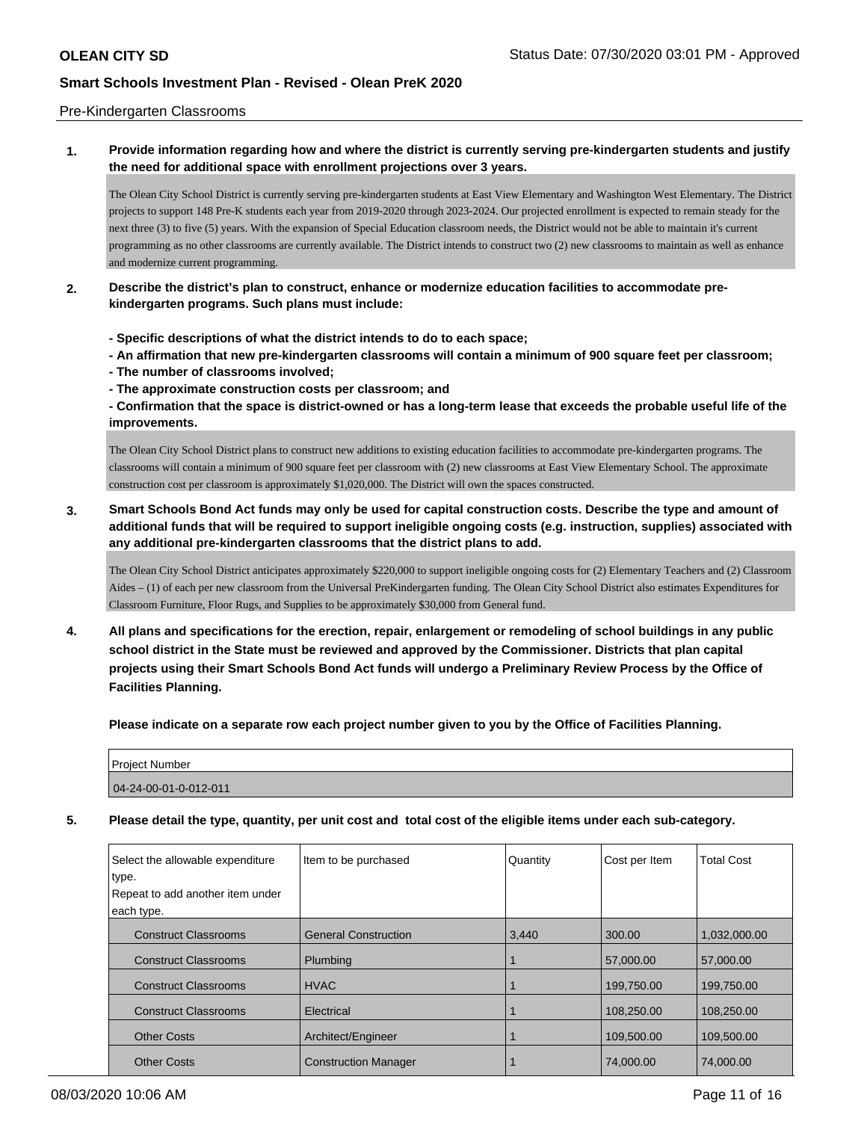#### Pre-Kindergarten Classrooms

## **1. Provide information regarding how and where the district is currently serving pre-kindergarten students and justify the need for additional space with enrollment projections over 3 years.**

The Olean City School District is currently serving pre-kindergarten students at East View Elementary and Washington West Elementary. The District projects to support 148 Pre-K students each year from 2019-2020 through 2023-2024. Our projected enrollment is expected to remain steady for the next three (3) to five (5) years. With the expansion of Special Education classroom needs, the District would not be able to maintain it's current programming as no other classrooms are currently available. The District intends to construct two (2) new classrooms to maintain as well as enhance and modernize current programming.

### **2. Describe the district's plan to construct, enhance or modernize education facilities to accommodate prekindergarten programs. Such plans must include:**

- **Specific descriptions of what the district intends to do to each space;**
- **An affirmation that new pre-kindergarten classrooms will contain a minimum of 900 square feet per classroom;**
- **The number of classrooms involved;**
- **The approximate construction costs per classroom; and**

**- Confirmation that the space is district-owned or has a long-term lease that exceeds the probable useful life of the improvements.**

The Olean City School District plans to construct new additions to existing education facilities to accommodate pre-kindergarten programs. The classrooms will contain a minimum of 900 square feet per classroom with (2) new classrooms at East View Elementary School. The approximate construction cost per classroom is approximately \$1,020,000. The District will own the spaces constructed.

# **3. Smart Schools Bond Act funds may only be used for capital construction costs. Describe the type and amount of additional funds that will be required to support ineligible ongoing costs (e.g. instruction, supplies) associated with any additional pre-kindergarten classrooms that the district plans to add.**

The Olean City School District anticipates approximately \$220,000 to support ineligible ongoing costs for (2) Elementary Teachers and (2) Classroom Aides – (1) of each per new classroom from the Universal PreKindergarten funding. The Olean City School District also estimates Expenditures for Classroom Furniture, Floor Rugs, and Supplies to be approximately \$30,000 from General fund.

**4. All plans and specifications for the erection, repair, enlargement or remodeling of school buildings in any public school district in the State must be reviewed and approved by the Commissioner. Districts that plan capital projects using their Smart Schools Bond Act funds will undergo a Preliminary Review Process by the Office of Facilities Planning.**

**Please indicate on a separate row each project number given to you by the Office of Facilities Planning.**

| Project Number        |  |
|-----------------------|--|
| 04-24-00-01-0-012-011 |  |

**5. Please detail the type, quantity, per unit cost and total cost of the eligible items under each sub-category.**

| Select the allowable expenditure<br>type.<br>Repeat to add another item under<br>each type. | Item to be purchased        | Quantity | Cost per Item | <b>Total Cost</b> |
|---------------------------------------------------------------------------------------------|-----------------------------|----------|---------------|-------------------|
| <b>Construct Classrooms</b>                                                                 | <b>General Construction</b> | 3,440    | 300.00        | 1,032,000.00      |
| <b>Construct Classrooms</b>                                                                 | Plumbing                    |          | 57,000.00     | 57,000.00         |
| <b>Construct Classrooms</b>                                                                 | <b>HVAC</b>                 |          | 199,750.00    | 199,750.00        |
| <b>Construct Classrooms</b>                                                                 | Electrical                  |          | 108,250.00    | 108,250.00        |
| <b>Other Costs</b>                                                                          | Architect/Engineer          |          | 109,500.00    | 109,500.00        |
| <b>Other Costs</b>                                                                          | <b>Construction Manager</b> |          | 74,000.00     | 74.000.00         |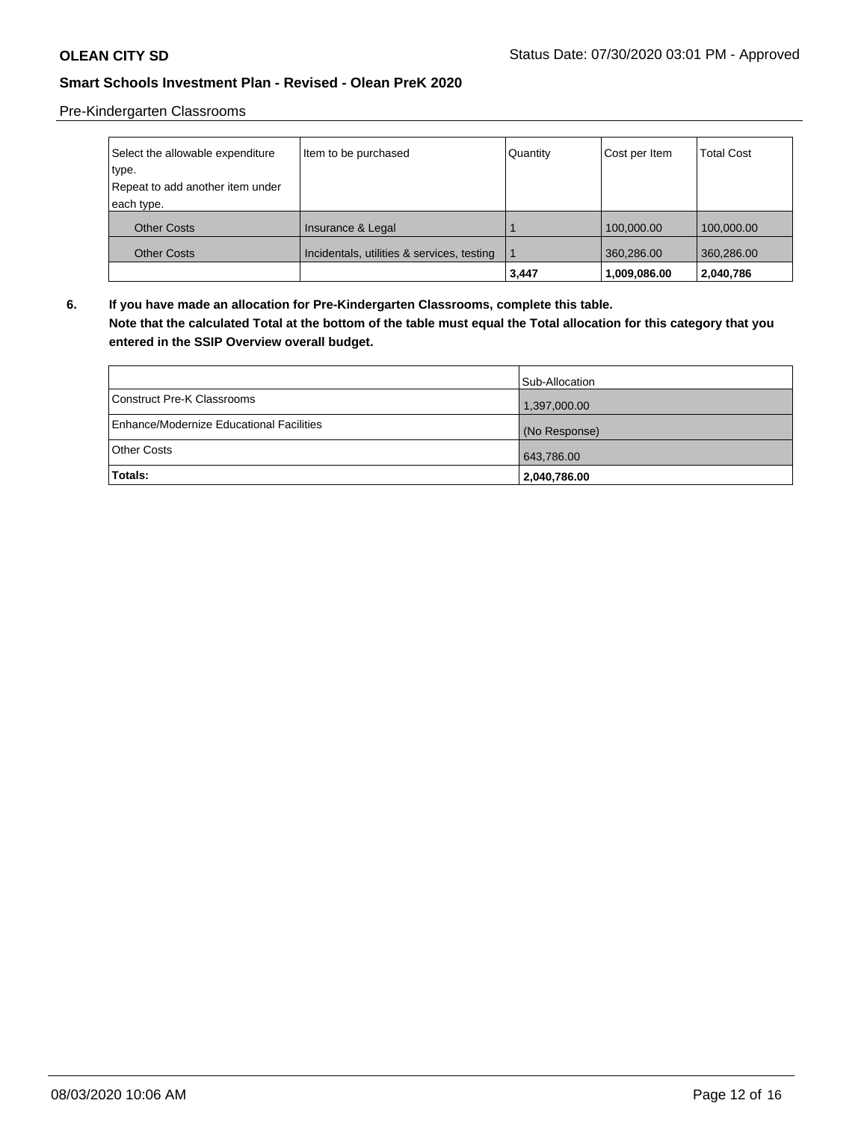# Pre-Kindergarten Classrooms

| Select the allowable expenditure | Item to be purchased                       | Quantity | Cost per Item | <b>Total Cost</b> |
|----------------------------------|--------------------------------------------|----------|---------------|-------------------|
| type.                            |                                            |          |               |                   |
| Repeat to add another item under |                                            |          |               |                   |
| each type.                       |                                            |          |               |                   |
| <b>Other Costs</b>               | Insurance & Legal                          |          | 100,000.00    | 100,000.00        |
| <b>Other Costs</b>               | Incidentals, utilities & services, testing |          | 360,286.00    | 360,286.00        |
|                                  |                                            | 3,447    | 1,009,086.00  | 2,040,786         |

**6. If you have made an allocation for Pre-Kindergarten Classrooms, complete this table.**

**Note that the calculated Total at the bottom of the table must equal the Total allocation for this category that you entered in the SSIP Overview overall budget.**

|                                          | Sub-Allocation |
|------------------------------------------|----------------|
| Construct Pre-K Classrooms               | 1,397,000.00   |
| Enhance/Modernize Educational Facilities | (No Response)  |
| <b>Other Costs</b>                       | 643,786.00     |
| Totals:                                  | 2,040,786.00   |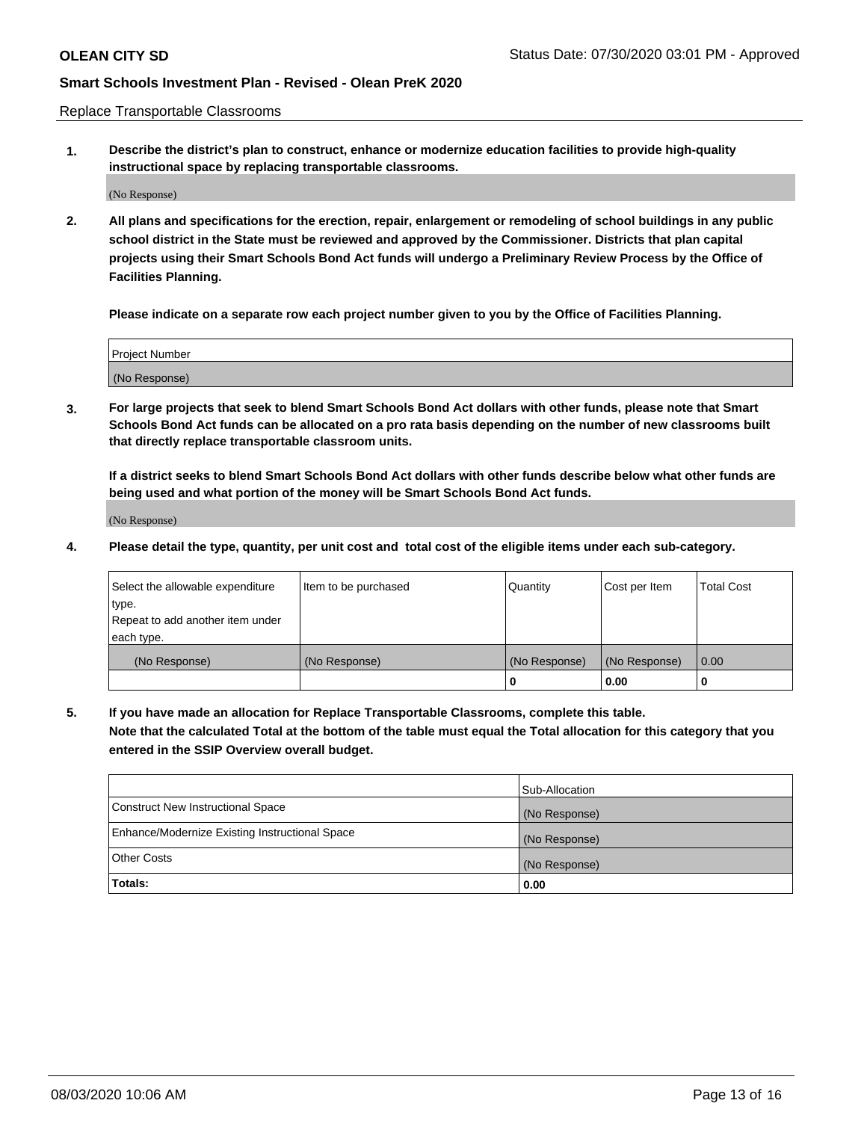Replace Transportable Classrooms

**1. Describe the district's plan to construct, enhance or modernize education facilities to provide high-quality instructional space by replacing transportable classrooms.**

(No Response)

**2. All plans and specifications for the erection, repair, enlargement or remodeling of school buildings in any public school district in the State must be reviewed and approved by the Commissioner. Districts that plan capital projects using their Smart Schools Bond Act funds will undergo a Preliminary Review Process by the Office of Facilities Planning.**

**Please indicate on a separate row each project number given to you by the Office of Facilities Planning.**

| Project Number |  |
|----------------|--|
|                |  |
|                |  |
|                |  |
| (No Response)  |  |
|                |  |
|                |  |

**3. For large projects that seek to blend Smart Schools Bond Act dollars with other funds, please note that Smart Schools Bond Act funds can be allocated on a pro rata basis depending on the number of new classrooms built that directly replace transportable classroom units.**

**If a district seeks to blend Smart Schools Bond Act dollars with other funds describe below what other funds are being used and what portion of the money will be Smart Schools Bond Act funds.**

(No Response)

**4. Please detail the type, quantity, per unit cost and total cost of the eligible items under each sub-category.**

| Select the allowable expenditure | Item to be purchased | Quantity      | Cost per Item | <b>Total Cost</b> |
|----------------------------------|----------------------|---------------|---------------|-------------------|
| ∣type.                           |                      |               |               |                   |
| Repeat to add another item under |                      |               |               |                   |
| each type.                       |                      |               |               |                   |
| (No Response)                    | (No Response)        | (No Response) | (No Response) | 0.00              |
|                                  |                      | 0             | 0.00          |                   |

**5. If you have made an allocation for Replace Transportable Classrooms, complete this table. Note that the calculated Total at the bottom of the table must equal the Total allocation for this category that you entered in the SSIP Overview overall budget.**

|                                                | Sub-Allocation |
|------------------------------------------------|----------------|
| Construct New Instructional Space              | (No Response)  |
| Enhance/Modernize Existing Instructional Space | (No Response)  |
| Other Costs                                    | (No Response)  |
| Totals:                                        | 0.00           |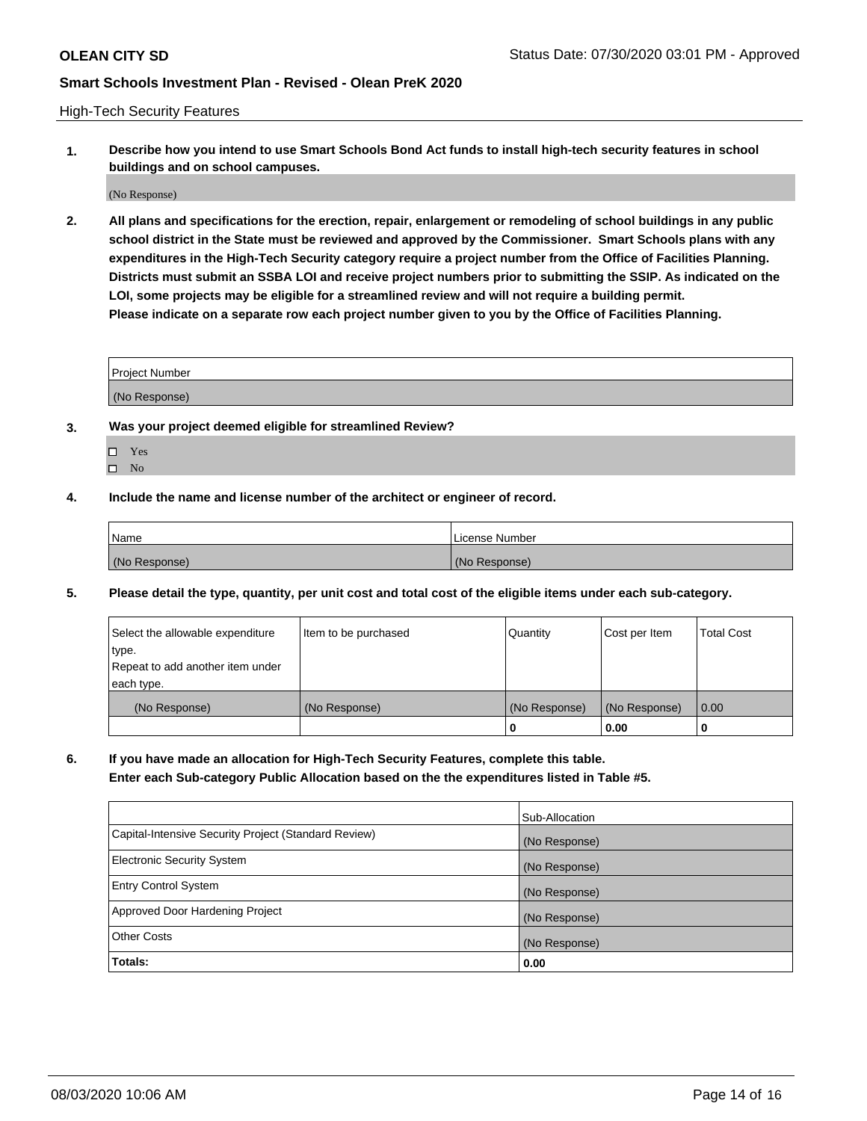High-Tech Security Features

**1. Describe how you intend to use Smart Schools Bond Act funds to install high-tech security features in school buildings and on school campuses.**

(No Response)

**2. All plans and specifications for the erection, repair, enlargement or remodeling of school buildings in any public school district in the State must be reviewed and approved by the Commissioner. Smart Schools plans with any expenditures in the High-Tech Security category require a project number from the Office of Facilities Planning. Districts must submit an SSBA LOI and receive project numbers prior to submitting the SSIP. As indicated on the LOI, some projects may be eligible for a streamlined review and will not require a building permit. Please indicate on a separate row each project number given to you by the Office of Facilities Planning.**

| <b>Project Number</b> |  |
|-----------------------|--|
|                       |  |
| (No Response)         |  |

- **3. Was your project deemed eligible for streamlined Review?**
	- Yes
	- $\hfill \square$  No
- **4. Include the name and license number of the architect or engineer of record.**

| Name          | License Number |
|---------------|----------------|
| (No Response) | (No Response)  |

**5. Please detail the type, quantity, per unit cost and total cost of the eligible items under each sub-category.**

| Select the allowable expenditure | Item to be purchased | Quantity      | Cost per Item | <b>Total Cost</b> |
|----------------------------------|----------------------|---------------|---------------|-------------------|
| type.                            |                      |               |               |                   |
| Repeat to add another item under |                      |               |               |                   |
| each type.                       |                      |               |               |                   |
| (No Response)                    | (No Response)        | (No Response) | (No Response) | 0.00              |
|                                  |                      | 0             | 0.00          |                   |

**6. If you have made an allocation for High-Tech Security Features, complete this table.**

**Enter each Sub-category Public Allocation based on the the expenditures listed in Table #5.**

|                                                      | Sub-Allocation |
|------------------------------------------------------|----------------|
| Capital-Intensive Security Project (Standard Review) | (No Response)  |
| <b>Electronic Security System</b>                    | (No Response)  |
| <b>Entry Control System</b>                          | (No Response)  |
| Approved Door Hardening Project                      | (No Response)  |
| <b>Other Costs</b>                                   | (No Response)  |
| Totals:                                              | 0.00           |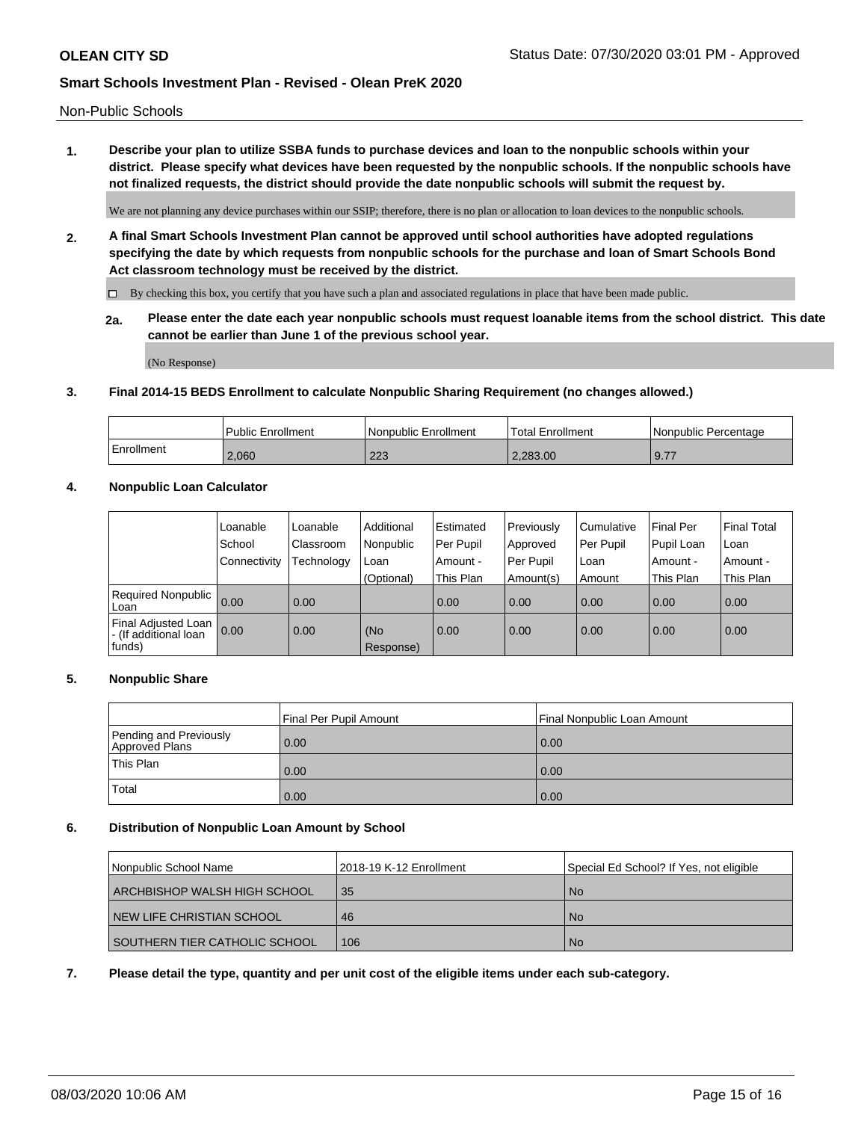Non-Public Schools

**1. Describe your plan to utilize SSBA funds to purchase devices and loan to the nonpublic schools within your district. Please specify what devices have been requested by the nonpublic schools. If the nonpublic schools have not finalized requests, the district should provide the date nonpublic schools will submit the request by.**

We are not planning any device purchases within our SSIP; therefore, there is no plan or allocation to loan devices to the nonpublic schools.

**2. A final Smart Schools Investment Plan cannot be approved until school authorities have adopted regulations specifying the date by which requests from nonpublic schools for the purchase and loan of Smart Schools Bond Act classroom technology must be received by the district.**

By checking this box, you certify that you have such a plan and associated regulations in place that have been made public.

**2a. Please enter the date each year nonpublic schools must request loanable items from the school district. This date cannot be earlier than June 1 of the previous school year.**

(No Response)

### **3. Final 2014-15 BEDS Enrollment to calculate Nonpublic Sharing Requirement (no changes allowed.)**

|            | Public Enrollment | Nonpublic Enrollment | Total Enrollment | l Nonpublic Percentage |
|------------|-------------------|----------------------|------------------|------------------------|
| Enrollment | 2.060             | nnn<br>د∠ے           | 2.283.00         | 9.77                   |

# **4. Nonpublic Loan Calculator**

|                                                        | Loanable     | Loanable   | Additional       | Estimated | Previously | l Cumulative | <b>Final Per</b> | <b>Final Total</b> |
|--------------------------------------------------------|--------------|------------|------------------|-----------|------------|--------------|------------------|--------------------|
|                                                        | School       | Classroom  | l Nonpublic      | Per Pupil | Approved   | Per Pupil    | Pupil Loan       | l Loan             |
|                                                        | Connectivity | Technology | Loan             | Amount -  | Per Pupil  | Loan         | Amount -         | l Amount -         |
|                                                        |              |            | (Optional)       | This Plan | Amount(s)  | Amount       | This Plan        | This Plan          |
| Required Nonpublic<br>Loan                             | 0.00         | 0.00       |                  | 0.00      | 0.00       | 0.00         | 0.00             | 0.00               |
| Final Adjusted Loan<br>- (If additional loan<br>funds) | 0.00         | 0.00       | (No<br>Response) | 0.00      | 0.00       | 0.00         | 0.00             | 0.00               |

### **5. Nonpublic Share**

|                                          | Final Per Pupil Amount | <b>Final Nonpublic Loan Amount</b> |
|------------------------------------------|------------------------|------------------------------------|
| Pending and Previously<br>Approved Plans | 0.00                   | 0.00                               |
| <b>This Plan</b>                         | 0.00                   | 0.00                               |
| 'Total                                   | 0.00                   | 0.00                               |

### **6. Distribution of Nonpublic Loan Amount by School**

| Nonpublic School Name         | 12018-19 K-12 Enrollment | Special Ed School? If Yes, not eligible |
|-------------------------------|--------------------------|-----------------------------------------|
| ARCHBISHOP WALSH HIGH SCHOOL  | 35                       | -No                                     |
| NEW LIFE CHRISTIAN SCHOOL     | 46                       | No.                                     |
| SOUTHERN TIER CATHOLIC SCHOOL | 106                      | <b>No</b>                               |

### **7. Please detail the type, quantity and per unit cost of the eligible items under each sub-category.**